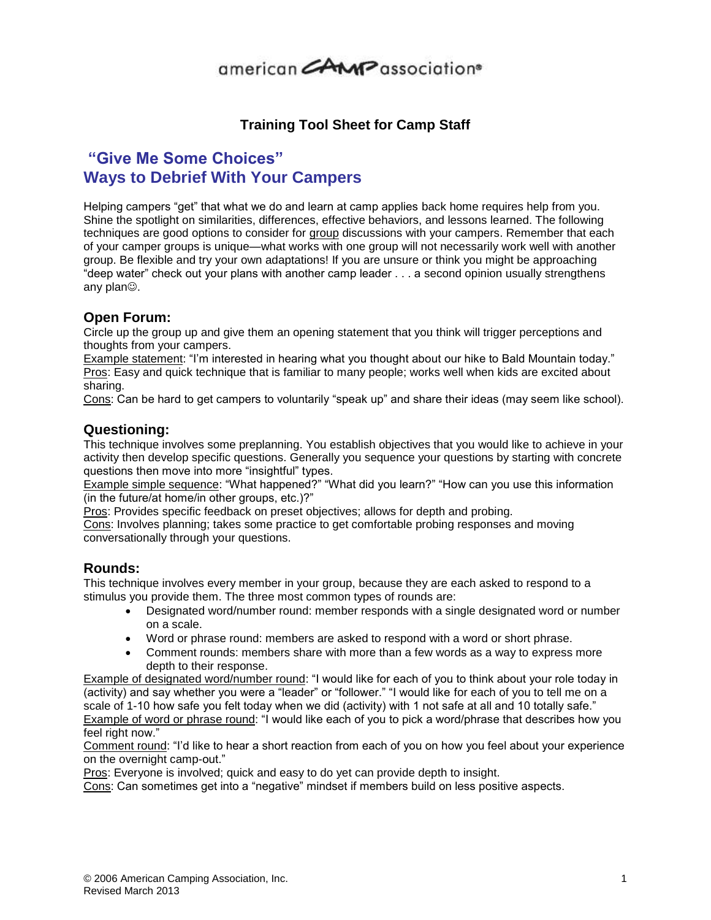# 

### **Training Tool Sheet for Camp Staff**

## **"Give Me Some Choices" Ways to Debrief With Your Campers**

Helping campers "get" that what we do and learn at camp applies back home requires help from you. Shine the spotlight on similarities, differences, effective behaviors, and lessons learned. The following techniques are good options to consider for group discussions with your campers. Remember that each of your camper groups is unique—what works with one group will not necessarily work well with another group. Be flexible and try your own adaptations! If you are unsure or think you might be approaching "deep water" check out your plans with another camp leader . . . a second opinion usually strengthens any plan $\circledcirc$ .

### **Open Forum:**

Circle up the group up and give them an opening statement that you think will trigger perceptions and thoughts from your campers.

Example statement: "I'm interested in hearing what you thought about our hike to Bald Mountain today." Pros: Easy and quick technique that is familiar to many people; works well when kids are excited about sharing.

Cons: Can be hard to get campers to voluntarily "speak up" and share their ideas (may seem like school).

#### **Questioning:**

This technique involves some preplanning. You establish objectives that you would like to achieve in your activity then develop specific questions. Generally you sequence your questions by starting with concrete questions then move into more "insightful" types.

Example simple sequence: "What happened?" "What did you learn?" "How can you use this information (in the future/at home/in other groups, etc.)?"

Pros: Provides specific feedback on preset objectives; allows for depth and probing.

Cons: Involves planning; takes some practice to get comfortable probing responses and moving conversationally through your questions.

#### **Rounds:**

This technique involves every member in your group, because they are each asked to respond to a stimulus you provide them. The three most common types of rounds are:

- Designated word/number round: member responds with a single designated word or number on a scale.
- Word or phrase round: members are asked to respond with a word or short phrase.
- Comment rounds: members share with more than a few words as a way to express more depth to their response.

Example of designated word/number round: "I would like for each of you to think about your role today in (activity) and say whether you were a "leader" or "follower." "I would like for each of you to tell me on a scale of 1-10 how safe you felt today when we did (activity) with 1 not safe at all and 10 totally safe." Example of word or phrase round: "I would like each of you to pick a word/phrase that describes how you feel right now."

Comment round: "I'd like to hear a short reaction from each of you on how you feel about your experience on the overnight camp-out."

Pros: Everyone is involved; quick and easy to do yet can provide depth to insight.

Cons: Can sometimes get into a "negative" mindset if members build on less positive aspects.